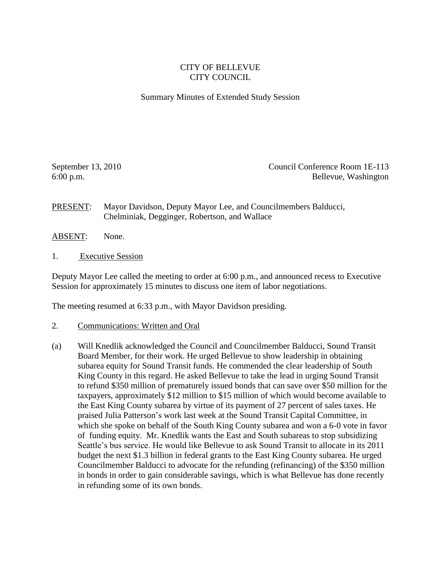## CITY OF BELLEVUE CITY COUNCIL

## Summary Minutes of Extended Study Session

September 13, 2010 Council Conference Room 1E-113 6:00 p.m. Bellevue, Washington

PRESENT: Mayor Davidson, Deputy Mayor Lee, and Councilmembers Balducci, Chelminiak, Degginger, Robertson, and Wallace

- ABSENT: None.
- 1. Executive Session

Deputy Mayor Lee called the meeting to order at 6:00 p.m., and announced recess to Executive Session for approximately 15 minutes to discuss one item of labor negotiations.

The meeting resumed at 6:33 p.m., with Mayor Davidson presiding.

- 2. Communications: Written and Oral
- (a) Will Knedlik acknowledged the Council and Councilmember Balducci, Sound Transit Board Member, for their work. He urged Bellevue to show leadership in obtaining subarea equity for Sound Transit funds. He commended the clear leadership of South King County in this regard. He asked Bellevue to take the lead in urging Sound Transit to refund \$350 million of prematurely issued bonds that can save over \$50 million for the taxpayers, approximately \$12 million to \$15 million of which would become available to the East King County subarea by virtue of its payment of 27 percent of sales taxes. He praised Julia Patterson's work last week at the Sound Transit Capital Committee, in which she spoke on behalf of the South King County subarea and won a 6-0 vote in favor of funding equity. Mr. Knedlik wants the East and South subareas to stop subsidizing Seattle's bus service. He would like Bellevue to ask Sound Transit to allocate in its 2011 budget the next \$1.3 billion in federal grants to the East King County subarea. He urged Councilmember Balducci to advocate for the refunding (refinancing) of the \$350 million in bonds in order to gain considerable savings, which is what Bellevue has done recently in refunding some of its own bonds.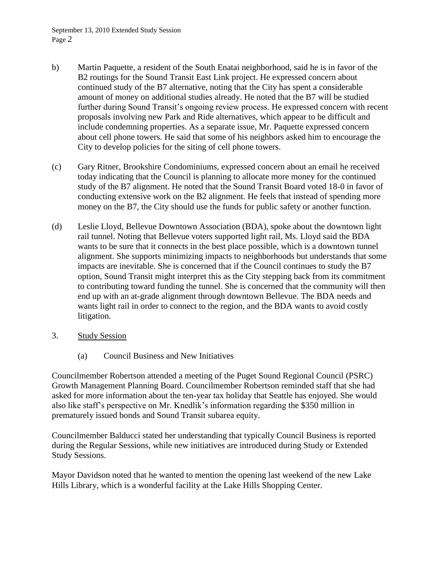- b) Martin Paquette, a resident of the South Enatai neighborhood, said he is in favor of the B2 routings for the Sound Transit East Link project. He expressed concern about continued study of the B7 alternative, noting that the City has spent a considerable amount of money on additional studies already. He noted that the B7 will be studied further during Sound Transit's ongoing review process. He expressed concern with recent proposals involving new Park and Ride alternatives, which appear to be difficult and include condemning properties. As a separate issue, Mr. Paquette expressed concern about cell phone towers. He said that some of his neighbors asked him to encourage the City to develop policies for the siting of cell phone towers.
- (c) Gary Ritner, Brookshire Condominiums, expressed concern about an email he received today indicating that the Council is planning to allocate more money for the continued study of the B7 alignment. He noted that the Sound Transit Board voted 18-0 in favor of conducting extensive work on the B2 alignment. He feels that instead of spending more money on the B7, the City should use the funds for public safety or another function.
- (d) Leslie Lloyd, Bellevue Downtown Association (BDA), spoke about the downtown light rail tunnel. Noting that Bellevue voters supported light rail, Ms. Lloyd said the BDA wants to be sure that it connects in the best place possible, which is a downtown tunnel alignment. She supports minimizing impacts to neighborhoods but understands that some impacts are inevitable. She is concerned that if the Council continues to study the B7 option, Sound Transit might interpret this as the City stepping back from its commitment to contributing toward funding the tunnel. She is concerned that the community will then end up with an at-grade alignment through downtown Bellevue. The BDA needs and wants light rail in order to connect to the region, and the BDA wants to avoid costly litigation.
- 3. Study Session
	- (a) Council Business and New Initiatives

Councilmember Robertson attended a meeting of the Puget Sound Regional Council (PSRC) Growth Management Planning Board. Councilmember Robertson reminded staff that she had asked for more information about the ten-year tax holiday that Seattle has enjoyed. She would also like staff's perspective on Mr. Knedlik's information regarding the \$350 million in prematurely issued bonds and Sound Transit subarea equity.

Councilmember Balducci stated her understanding that typically Council Business is reported during the Regular Sessions, while new initiatives are introduced during Study or Extended Study Sessions.

Mayor Davidson noted that he wanted to mention the opening last weekend of the new Lake Hills Library, which is a wonderful facility at the Lake Hills Shopping Center.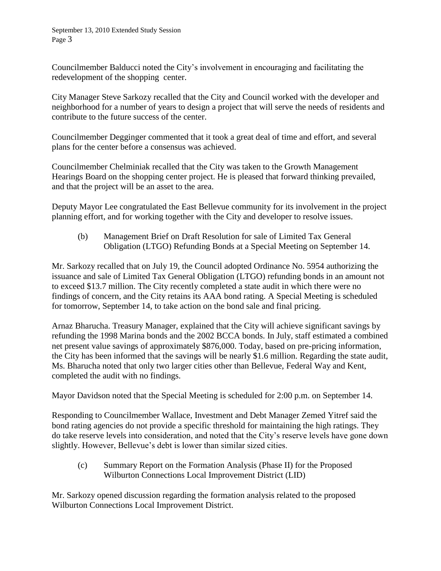Councilmember Balducci noted the City's involvement in encouraging and facilitating the redevelopment of the shopping center.

City Manager Steve Sarkozy recalled that the City and Council worked with the developer and neighborhood for a number of years to design a project that will serve the needs of residents and contribute to the future success of the center.

Councilmember Degginger commented that it took a great deal of time and effort, and several plans for the center before a consensus was achieved.

Councilmember Chelminiak recalled that the City was taken to the Growth Management Hearings Board on the shopping center project. He is pleased that forward thinking prevailed, and that the project will be an asset to the area.

Deputy Mayor Lee congratulated the East Bellevue community for its involvement in the project planning effort, and for working together with the City and developer to resolve issues.

(b) Management Brief on Draft Resolution for sale of Limited Tax General Obligation (LTGO) Refunding Bonds at a Special Meeting on September 14.

Mr. Sarkozy recalled that on July 19, the Council adopted Ordinance No. 5954 authorizing the issuance and sale of Limited Tax General Obligation (LTGO) refunding bonds in an amount not to exceed \$13.7 million. The City recently completed a state audit in which there were no findings of concern, and the City retains its AAA bond rating. A Special Meeting is scheduled for tomorrow, September 14, to take action on the bond sale and final pricing.

Arnaz Bharucha. Treasury Manager, explained that the City will achieve significant savings by refunding the 1998 Marina bonds and the 2002 BCCA bonds. In July, staff estimated a combined net present value savings of approximately \$876,000. Today, based on pre-pricing information, the City has been informed that the savings will be nearly \$1.6 million. Regarding the state audit, Ms. Bharucha noted that only two larger cities other than Bellevue, Federal Way and Kent, completed the audit with no findings.

Mayor Davidson noted that the Special Meeting is scheduled for 2:00 p.m. on September 14.

Responding to Councilmember Wallace, Investment and Debt Manager Zemed Yitref said the bond rating agencies do not provide a specific threshold for maintaining the high ratings. They do take reserve levels into consideration, and noted that the City's reserve levels have gone down slightly. However, Bellevue's debt is lower than similar sized cities.

(c) Summary Report on the Formation Analysis (Phase II) for the Proposed Wilburton Connections Local Improvement District (LID)

Mr. Sarkozy opened discussion regarding the formation analysis related to the proposed Wilburton Connections Local Improvement District.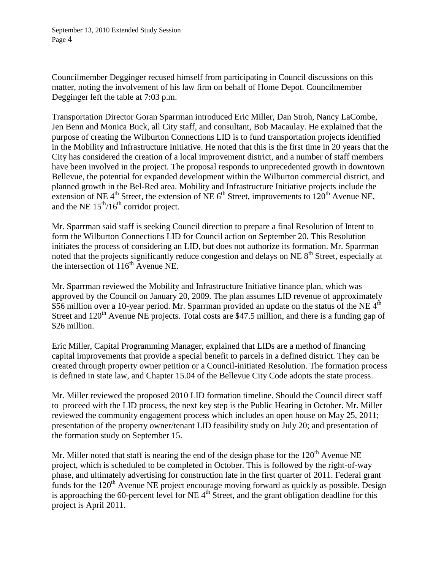Councilmember Degginger recused himself from participating in Council discussions on this matter, noting the involvement of his law firm on behalf of Home Depot. Councilmember Degginger left the table at 7:03 p.m.

Transportation Director Goran Sparrman introduced Eric Miller, Dan Stroh, Nancy LaCombe, Jen Benn and Monica Buck, all City staff, and consultant, Bob Macaulay. He explained that the purpose of creating the Wilburton Connections LID is to fund transportation projects identified in the Mobility and Infrastructure Initiative. He noted that this is the first time in 20 years that the City has considered the creation of a local improvement district, and a number of staff members have been involved in the project. The proposal responds to unprecedented growth in downtown Bellevue, the potential for expanded development within the Wilburton commercial district, and planned growth in the Bel-Red area. Mobility and Infrastructure Initiative projects include the extension of NE  $4<sup>th</sup>$  Street, the extension of NE  $6<sup>th</sup>$  Street, improvements to  $120<sup>th</sup>$  Avenue NE, and the NE  $15<sup>th</sup>/16<sup>th</sup>$  corridor project.

Mr. Sparrman said staff is seeking Council direction to prepare a final Resolution of Intent to form the Wilburton Connections LID for Council action on September 20. This Resolution initiates the process of considering an LID, but does not authorize its formation. Mr. Sparrman noted that the projects significantly reduce congestion and delays on NE  $8<sup>th</sup>$  Street, especially at the intersection of  $116<sup>th</sup>$  Avenue NE.

Mr. Sparrman reviewed the Mobility and Infrastructure Initiative finance plan, which was approved by the Council on January 20, 2009. The plan assumes LID revenue of approximately \$56 million over a 10-year period. Mr. Sparrman provided an update on the status of the NE  $4<sup>th</sup>$ Street and  $120<sup>th</sup>$  Avenue NE projects. Total costs are \$47.5 million, and there is a funding gap of \$26 million.

Eric Miller, Capital Programming Manager, explained that LIDs are a method of financing capital improvements that provide a special benefit to parcels in a defined district. They can be created through property owner petition or a Council-initiated Resolution. The formation process is defined in state law, and Chapter 15.04 of the Bellevue City Code adopts the state process.

Mr. Miller reviewed the proposed 2010 LID formation timeline. Should the Council direct staff to proceed with the LID process, the next key step is the Public Hearing in October. Mr. Miller reviewed the community engagement process which includes an open house on May 25, 2011; presentation of the property owner/tenant LID feasibility study on July 20; and presentation of the formation study on September 15.

Mr. Miller noted that staff is nearing the end of the design phase for the  $120<sup>th</sup>$  Avenue NE project, which is scheduled to be completed in October. This is followed by the right-of-way phase, and ultimately advertising for construction late in the first quarter of 2011. Federal grant funds for the 120<sup>th</sup> Avenue NE project encourage moving forward as quickly as possible. Design is approaching the 60-percent level for NE  $4<sup>th</sup>$  Street, and the grant obligation deadline for this project is April 2011.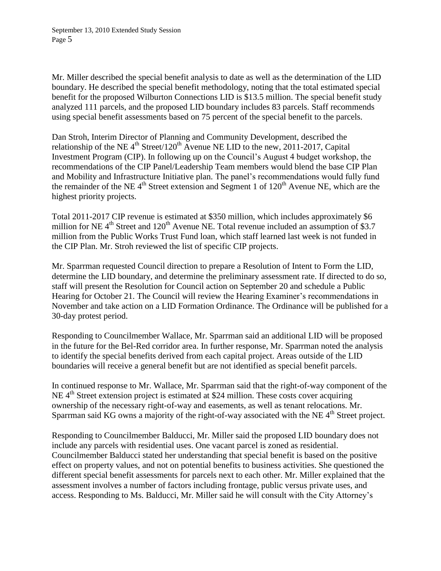Mr. Miller described the special benefit analysis to date as well as the determination of the LID boundary. He described the special benefit methodology, noting that the total estimated special benefit for the proposed Wilburton Connections LID is \$13.5 million. The special benefit study analyzed 111 parcels, and the proposed LID boundary includes 83 parcels. Staff recommends using special benefit assessments based on 75 percent of the special benefit to the parcels.

Dan Stroh, Interim Director of Planning and Community Development, described the relationship of the NE  $4<sup>th</sup>$  Street/120<sup>th</sup> Avenue NE LID to the new, 2011-2017, Capital Investment Program (CIP). In following up on the Council's August 4 budget workshop, the recommendations of the CIP Panel/Leadership Team members would blend the base CIP Plan and Mobility and Infrastructure Initiative plan. The panel's recommendations would fully fund the remainder of the NE  $4<sup>th</sup>$  Street extension and Segment 1 of  $120<sup>th</sup>$  Avenue NE, which are the highest priority projects.

Total 2011-2017 CIP revenue is estimated at \$350 million, which includes approximately \$6 million for NE  $4<sup>th</sup>$  Street and 120<sup>th</sup> Avenue NE. Total revenue included an assumption of \$3.7 million from the Public Works Trust Fund loan, which staff learned last week is not funded in the CIP Plan. Mr. Stroh reviewed the list of specific CIP projects.

Mr. Sparrman requested Council direction to prepare a Resolution of Intent to Form the LID, determine the LID boundary, and determine the preliminary assessment rate. If directed to do so, staff will present the Resolution for Council action on September 20 and schedule a Public Hearing for October 21. The Council will review the Hearing Examiner's recommendations in November and take action on a LID Formation Ordinance. The Ordinance will be published for a 30-day protest period.

Responding to Councilmember Wallace, Mr. Sparrman said an additional LID will be proposed in the future for the Bel-Red corridor area. In further response, Mr. Sparrman noted the analysis to identify the special benefits derived from each capital project. Areas outside of the LID boundaries will receive a general benefit but are not identified as special benefit parcels.

In continued response to Mr. Wallace, Mr. Sparrman said that the right-of-way component of the NE  $4<sup>th</sup>$  Street extension project is estimated at \$24 million. These costs cover acquiring ownership of the necessary right-of-way and easements, as well as tenant relocations. Mr. Sparrman said KG owns a majority of the right-of-way associated with the NE 4<sup>th</sup> Street project.

Responding to Councilmember Balducci, Mr. Miller said the proposed LID boundary does not include any parcels with residential uses. One vacant parcel is zoned as residential. Councilmember Balducci stated her understanding that special benefit is based on the positive effect on property values, and not on potential benefits to business activities. She questioned the different special benefit assessments for parcels next to each other. Mr. Miller explained that the assessment involves a number of factors including frontage, public versus private uses, and access. Responding to Ms. Balducci, Mr. Miller said he will consult with the City Attorney's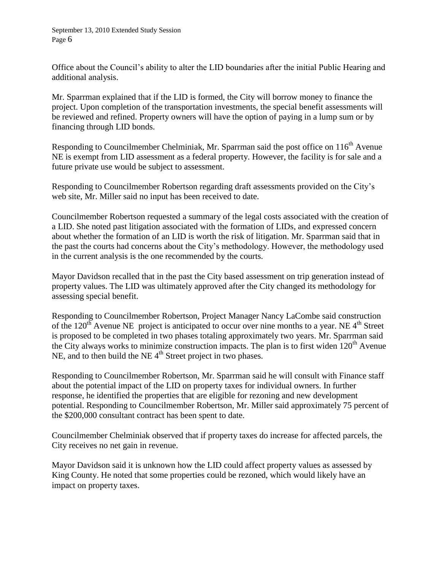Office about the Council's ability to alter the LID boundaries after the initial Public Hearing and additional analysis.

Mr. Sparrman explained that if the LID is formed, the City will borrow money to finance the project. Upon completion of the transportation investments, the special benefit assessments will be reviewed and refined. Property owners will have the option of paying in a lump sum or by financing through LID bonds.

Responding to Councilmember Chelminiak, Mr. Sparrman said the post office on  $116<sup>th</sup>$  Avenue NE is exempt from LID assessment as a federal property. However, the facility is for sale and a future private use would be subject to assessment.

Responding to Councilmember Robertson regarding draft assessments provided on the City's web site, Mr. Miller said no input has been received to date.

Councilmember Robertson requested a summary of the legal costs associated with the creation of a LID. She noted past litigation associated with the formation of LIDs, and expressed concern about whether the formation of an LID is worth the risk of litigation. Mr. Sparrman said that in the past the courts had concerns about the City's methodology. However, the methodology used in the current analysis is the one recommended by the courts.

Mayor Davidson recalled that in the past the City based assessment on trip generation instead of property values. The LID was ultimately approved after the City changed its methodology for assessing special benefit.

Responding to Councilmember Robertson, Project Manager Nancy LaCombe said construction of the  $120<sup>th</sup>$  Avenue NE project is anticipated to occur over nine months to a year. NE 4<sup>th</sup> Street is proposed to be completed in two phases totaling approximately two years. Mr. Sparrman said the City always works to minimize construction impacts. The plan is to first widen  $120<sup>th</sup>$  Avenue NE, and to then build the NE  $4<sup>th</sup>$  Street project in two phases.

Responding to Councilmember Robertson, Mr. Sparrman said he will consult with Finance staff about the potential impact of the LID on property taxes for individual owners. In further response, he identified the properties that are eligible for rezoning and new development potential. Responding to Councilmember Robertson, Mr. Miller said approximately 75 percent of the \$200,000 consultant contract has been spent to date.

Councilmember Chelminiak observed that if property taxes do increase for affected parcels, the City receives no net gain in revenue.

Mayor Davidson said it is unknown how the LID could affect property values as assessed by King County. He noted that some properties could be rezoned, which would likely have an impact on property taxes.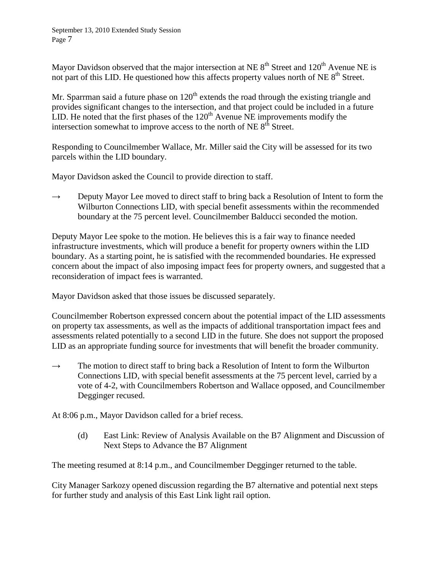Mayor Davidson observed that the major intersection at NE  $8<sup>th</sup>$  Street and 120<sup>th</sup> Avenue NE is not part of this LID. He questioned how this affects property values north of NE  $8<sup>th</sup>$  Street.

Mr. Sparrman said a future phase on  $120<sup>th</sup>$  extends the road through the existing triangle and provides significant changes to the intersection, and that project could be included in a future LID. He noted that the first phases of the  $120<sup>th</sup>$  Avenue NE improvements modify the intersection somewhat to improve access to the north of  $NE 8<sup>th</sup>$  Street.

Responding to Councilmember Wallace, Mr. Miller said the City will be assessed for its two parcels within the LID boundary.

Mayor Davidson asked the Council to provide direction to staff.

 $\rightarrow$  Deputy Mayor Lee moved to direct staff to bring back a Resolution of Intent to form the Wilburton Connections LID, with special benefit assessments within the recommended boundary at the 75 percent level. Councilmember Balducci seconded the motion.

Deputy Mayor Lee spoke to the motion. He believes this is a fair way to finance needed infrastructure investments, which will produce a benefit for property owners within the LID boundary. As a starting point, he is satisfied with the recommended boundaries. He expressed concern about the impact of also imposing impact fees for property owners, and suggested that a reconsideration of impact fees is warranted.

Mayor Davidson asked that those issues be discussed separately.

Councilmember Robertson expressed concern about the potential impact of the LID assessments on property tax assessments, as well as the impacts of additional transportation impact fees and assessments related potentially to a second LID in the future. She does not support the proposed LID as an appropriate funding source for investments that will benefit the broader community.

 $\rightarrow$  The motion to direct staff to bring back a Resolution of Intent to form the Wilburton Connections LID, with special benefit assessments at the 75 percent level, carried by a vote of 4-2, with Councilmembers Robertson and Wallace opposed, and Councilmember Degginger recused.

At 8:06 p.m., Mayor Davidson called for a brief recess.

(d) East Link: Review of Analysis Available on the B7 Alignment and Discussion of Next Steps to Advance the B7 Alignment

The meeting resumed at 8:14 p.m., and Councilmember Degginger returned to the table.

City Manager Sarkozy opened discussion regarding the B7 alternative and potential next steps for further study and analysis of this East Link light rail option.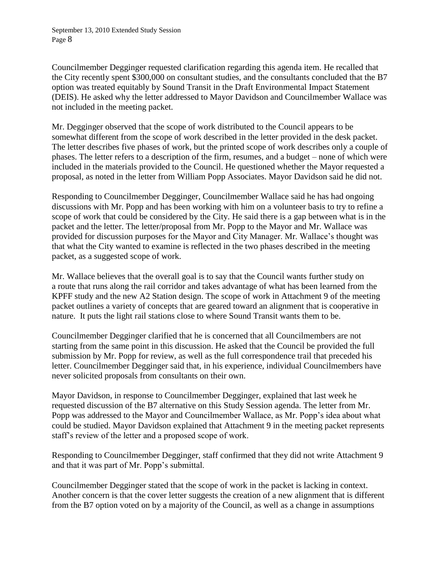Councilmember Degginger requested clarification regarding this agenda item. He recalled that the City recently spent \$300,000 on consultant studies, and the consultants concluded that the B7 option was treated equitably by Sound Transit in the Draft Environmental Impact Statement (DEIS). He asked why the letter addressed to Mayor Davidson and Councilmember Wallace was not included in the meeting packet.

Mr. Degginger observed that the scope of work distributed to the Council appears to be somewhat different from the scope of work described in the letter provided in the desk packet. The letter describes five phases of work, but the printed scope of work describes only a couple of phases. The letter refers to a description of the firm, resumes, and a budget – none of which were included in the materials provided to the Council. He questioned whether the Mayor requested a proposal, as noted in the letter from William Popp Associates. Mayor Davidson said he did not.

Responding to Councilmember Degginger, Councilmember Wallace said he has had ongoing discussions with Mr. Popp and has been working with him on a volunteer basis to try to refine a scope of work that could be considered by the City. He said there is a gap between what is in the packet and the letter. The letter/proposal from Mr. Popp to the Mayor and Mr. Wallace was provided for discussion purposes for the Mayor and City Manager. Mr. Wallace's thought was that what the City wanted to examine is reflected in the two phases described in the meeting packet, as a suggested scope of work.

Mr. Wallace believes that the overall goal is to say that the Council wants further study on a route that runs along the rail corridor and takes advantage of what has been learned from the KPFF study and the new A2 Station design. The scope of work in Attachment 9 of the meeting packet outlines a variety of concepts that are geared toward an alignment that is cooperative in nature. It puts the light rail stations close to where Sound Transit wants them to be.

Councilmember Degginger clarified that he is concerned that all Councilmembers are not starting from the same point in this discussion. He asked that the Council be provided the full submission by Mr. Popp for review, as well as the full correspondence trail that preceded his letter. Councilmember Degginger said that, in his experience, individual Councilmembers have never solicited proposals from consultants on their own.

Mayor Davidson, in response to Councilmember Degginger, explained that last week he requested discussion of the B7 alternative on this Study Session agenda. The letter from Mr. Popp was addressed to the Mayor and Councilmember Wallace, as Mr. Popp's idea about what could be studied. Mayor Davidson explained that Attachment 9 in the meeting packet represents staff's review of the letter and a proposed scope of work.

Responding to Councilmember Degginger, staff confirmed that they did not write Attachment 9 and that it was part of Mr. Popp's submittal.

Councilmember Degginger stated that the scope of work in the packet is lacking in context. Another concern is that the cover letter suggests the creation of a new alignment that is different from the B7 option voted on by a majority of the Council, as well as a change in assumptions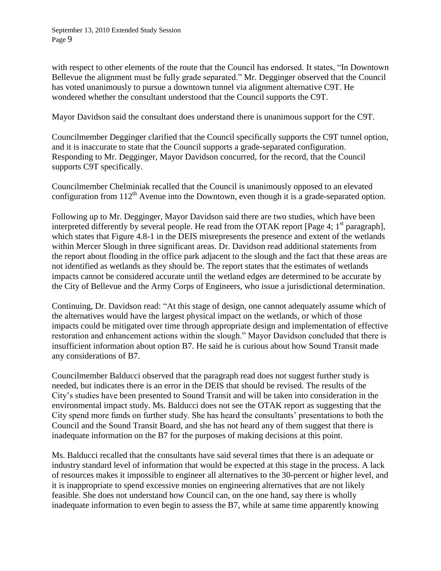with respect to other elements of the route that the Council has endorsed. It states, "In Downtown Bellevue the alignment must be fully grade separated." Mr. Degginger observed that the Council has voted unanimously to pursue a downtown tunnel via alignment alternative C9T. He wondered whether the consultant understood that the Council supports the C9T.

Mayor Davidson said the consultant does understand there is unanimous support for the C9T.

Councilmember Degginger clarified that the Council specifically supports the C9T tunnel option, and it is inaccurate to state that the Council supports a grade-separated configuration. Responding to Mr. Degginger, Mayor Davidson concurred, for the record, that the Council supports C9T specifically.

Councilmember Chelminiak recalled that the Council is unanimously opposed to an elevated configuration from  $112<sup>th</sup>$  Avenue into the Downtown, even though it is a grade-separated option.

Following up to Mr. Degginger, Mayor Davidson said there are two studies, which have been interpreted differently by several people. He read from the OTAK report [Page 4;  $1<sup>st</sup>$  paragraph], which states that Figure 4.8-1 in the DEIS misrepresents the presence and extent of the wetlands within Mercer Slough in three significant areas. Dr. Davidson read additional statements from the report about flooding in the office park adjacent to the slough and the fact that these areas are not identified as wetlands as they should be. The report states that the estimates of wetlands impacts cannot be considered accurate until the wetland edges are determined to be accurate by the City of Bellevue and the Army Corps of Engineers, who issue a jurisdictional determination.

Continuing, Dr. Davidson read: "At this stage of design, one cannot adequately assume which of the alternatives would have the largest physical impact on the wetlands, or which of those impacts could be mitigated over time through appropriate design and implementation of effective restoration and enhancement actions within the slough." Mayor Davidson concluded that there is insufficient information about option B7. He said he is curious about how Sound Transit made any considerations of B7.

Councilmember Balducci observed that the paragraph read does not suggest further study is needed, but indicates there is an error in the DEIS that should be revised. The results of the City's studies have been presented to Sound Transit and will be taken into consideration in the environmental impact study. Ms. Balducci does not see the OTAK report as suggesting that the City spend more funds on further study. She has heard the consultants' presentations to both the Council and the Sound Transit Board, and she has not heard any of them suggest that there is inadequate information on the B7 for the purposes of making decisions at this point.

Ms. Balducci recalled that the consultants have said several times that there is an adequate or industry standard level of information that would be expected at this stage in the process. A lack of resources makes it impossible to engineer all alternatives to the 30-percent or higher level, and it is inappropriate to spend excessive monies on engineering alternatives that are not likely feasible. She does not understand how Council can, on the one hand, say there is wholly inadequate information to even begin to assess the B7, while at same time apparently knowing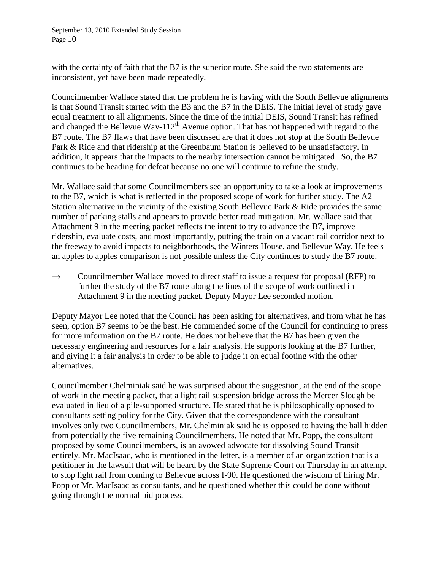with the certainty of faith that the B7 is the superior route. She said the two statements are inconsistent, yet have been made repeatedly.

Councilmember Wallace stated that the problem he is having with the South Bellevue alignments is that Sound Transit started with the B3 and the B7 in the DEIS. The initial level of study gave equal treatment to all alignments. Since the time of the initial DEIS, Sound Transit has refined and changed the Bellevue Way-112<sup>th</sup> Avenue option. That has not happened with regard to the B7 route. The B7 flaws that have been discussed are that it does not stop at the South Bellevue Park & Ride and that ridership at the Greenbaum Station is believed to be unsatisfactory. In addition, it appears that the impacts to the nearby intersection cannot be mitigated . So, the B7 continues to be heading for defeat because no one will continue to refine the study.

Mr. Wallace said that some Councilmembers see an opportunity to take a look at improvements to the B7, which is what is reflected in the proposed scope of work for further study. The A2 Station alternative in the vicinity of the existing South Bellevue Park & Ride provides the same number of parking stalls and appears to provide better road mitigation. Mr. Wallace said that Attachment 9 in the meeting packet reflects the intent to try to advance the B7, improve ridership, evaluate costs, and most importantly, putting the train on a vacant rail corridor next to the freeway to avoid impacts to neighborhoods, the Winters House, and Bellevue Way. He feels an apples to apples comparison is not possible unless the City continues to study the B7 route.

 $\rightarrow$  Councilmember Wallace moved to direct staff to issue a request for proposal (RFP) to further the study of the B7 route along the lines of the scope of work outlined in Attachment 9 in the meeting packet. Deputy Mayor Lee seconded motion.

Deputy Mayor Lee noted that the Council has been asking for alternatives, and from what he has seen, option B7 seems to be the best. He commended some of the Council for continuing to press for more information on the B7 route. He does not believe that the B7 has been given the necessary engineering and resources for a fair analysis. He supports looking at the B7 further, and giving it a fair analysis in order to be able to judge it on equal footing with the other alternatives.

Councilmember Chelminiak said he was surprised about the suggestion, at the end of the scope of work in the meeting packet, that a light rail suspension bridge across the Mercer Slough be evaluated in lieu of a pile-supported structure. He stated that he is philosophically opposed to consultants setting policy for the City. Given that the correspondence with the consultant involves only two Councilmembers, Mr. Chelminiak said he is opposed to having the ball hidden from potentially the five remaining Councilmembers. He noted that Mr. Popp, the consultant proposed by some Councilmembers, is an avowed advocate for dissolving Sound Transit entirely. Mr. MacIsaac, who is mentioned in the letter, is a member of an organization that is a petitioner in the lawsuit that will be heard by the State Supreme Court on Thursday in an attempt to stop light rail from coming to Bellevue across I-90. He questioned the wisdom of hiring Mr. Popp or Mr. MacIsaac as consultants, and he questioned whether this could be done without going through the normal bid process.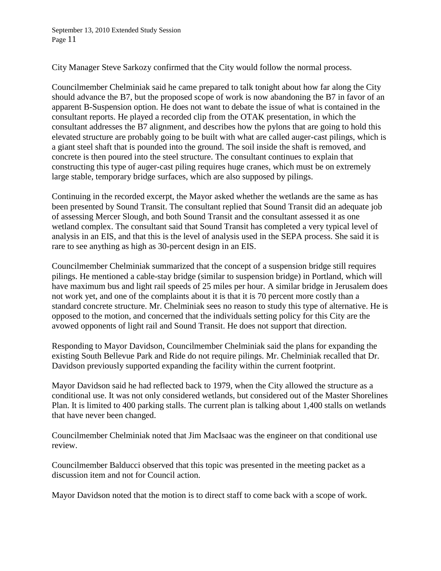City Manager Steve Sarkozy confirmed that the City would follow the normal process.

Councilmember Chelminiak said he came prepared to talk tonight about how far along the City should advance the B7, but the proposed scope of work is now abandoning the B7 in favor of an apparent B-Suspension option. He does not want to debate the issue of what is contained in the consultant reports. He played a recorded clip from the OTAK presentation, in which the consultant addresses the B7 alignment, and describes how the pylons that are going to hold this elevated structure are probably going to be built with what are called auger-cast pilings, which is a giant steel shaft that is pounded into the ground. The soil inside the shaft is removed, and concrete is then poured into the steel structure. The consultant continues to explain that constructing this type of auger-cast piling requires huge cranes, which must be on extremely large stable, temporary bridge surfaces, which are also supposed by pilings.

Continuing in the recorded excerpt, the Mayor asked whether the wetlands are the same as has been presented by Sound Transit. The consultant replied that Sound Transit did an adequate job of assessing Mercer Slough, and both Sound Transit and the consultant assessed it as one wetland complex. The consultant said that Sound Transit has completed a very typical level of analysis in an EIS, and that this is the level of analysis used in the SEPA process. She said it is rare to see anything as high as 30-percent design in an EIS.

Councilmember Chelminiak summarized that the concept of a suspension bridge still requires pilings. He mentioned a cable-stay bridge (similar to suspension bridge) in Portland, which will have maximum bus and light rail speeds of 25 miles per hour. A similar bridge in Jerusalem does not work yet, and one of the complaints about it is that it is 70 percent more costly than a standard concrete structure. Mr. Chelminiak sees no reason to study this type of alternative. He is opposed to the motion, and concerned that the individuals setting policy for this City are the avowed opponents of light rail and Sound Transit. He does not support that direction.

Responding to Mayor Davidson, Councilmember Chelminiak said the plans for expanding the existing South Bellevue Park and Ride do not require pilings. Mr. Chelminiak recalled that Dr. Davidson previously supported expanding the facility within the current footprint.

Mayor Davidson said he had reflected back to 1979, when the City allowed the structure as a conditional use. It was not only considered wetlands, but considered out of the Master Shorelines Plan. It is limited to 400 parking stalls. The current plan is talking about 1,400 stalls on wetlands that have never been changed.

Councilmember Chelminiak noted that Jim MacIsaac was the engineer on that conditional use review.

Councilmember Balducci observed that this topic was presented in the meeting packet as a discussion item and not for Council action.

Mayor Davidson noted that the motion is to direct staff to come back with a scope of work.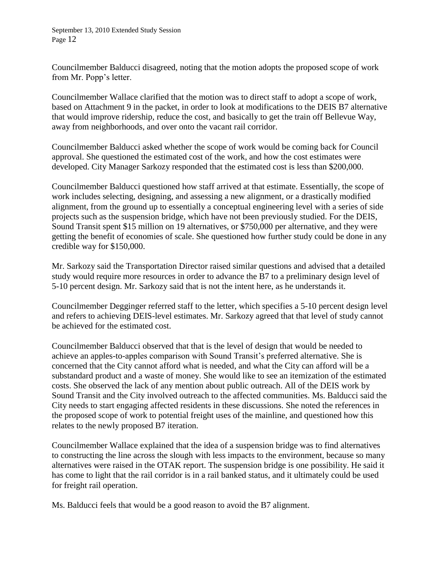Councilmember Balducci disagreed, noting that the motion adopts the proposed scope of work from Mr. Popp's letter.

Councilmember Wallace clarified that the motion was to direct staff to adopt a scope of work, based on Attachment 9 in the packet, in order to look at modifications to the DEIS B7 alternative that would improve ridership, reduce the cost, and basically to get the train off Bellevue Way, away from neighborhoods, and over onto the vacant rail corridor.

Councilmember Balducci asked whether the scope of work would be coming back for Council approval. She questioned the estimated cost of the work, and how the cost estimates were developed. City Manager Sarkozy responded that the estimated cost is less than \$200,000.

Councilmember Balducci questioned how staff arrived at that estimate. Essentially, the scope of work includes selecting, designing, and assessing a new alignment, or a drastically modified alignment, from the ground up to essentially a conceptual engineering level with a series of side projects such as the suspension bridge, which have not been previously studied. For the DEIS, Sound Transit spent \$15 million on 19 alternatives, or \$750,000 per alternative, and they were getting the benefit of economies of scale. She questioned how further study could be done in any credible way for \$150,000.

Mr. Sarkozy said the Transportation Director raised similar questions and advised that a detailed study would require more resources in order to advance the B7 to a preliminary design level of 5-10 percent design. Mr. Sarkozy said that is not the intent here, as he understands it.

Councilmember Degginger referred staff to the letter, which specifies a 5-10 percent design level and refers to achieving DEIS-level estimates. Mr. Sarkozy agreed that that level of study cannot be achieved for the estimated cost.

Councilmember Balducci observed that that is the level of design that would be needed to achieve an apples-to-apples comparison with Sound Transit's preferred alternative. She is concerned that the City cannot afford what is needed, and what the City can afford will be a substandard product and a waste of money. She would like to see an itemization of the estimated costs. She observed the lack of any mention about public outreach. All of the DEIS work by Sound Transit and the City involved outreach to the affected communities. Ms. Balducci said the City needs to start engaging affected residents in these discussions. She noted the references in the proposed scope of work to potential freight uses of the mainline, and questioned how this relates to the newly proposed B7 iteration.

Councilmember Wallace explained that the idea of a suspension bridge was to find alternatives to constructing the line across the slough with less impacts to the environment, because so many alternatives were raised in the OTAK report. The suspension bridge is one possibility. He said it has come to light that the rail corridor is in a rail banked status, and it ultimately could be used for freight rail operation.

Ms. Balducci feels that would be a good reason to avoid the B7 alignment.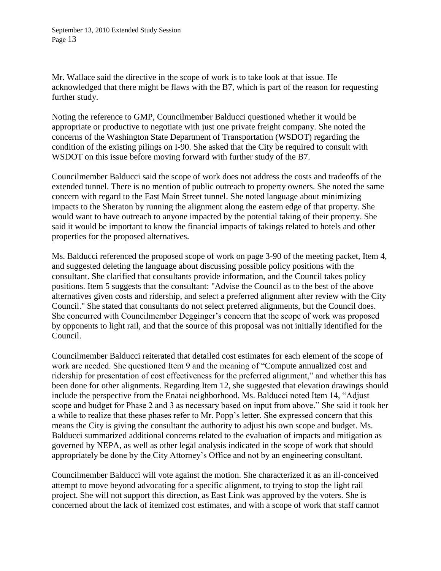Mr. Wallace said the directive in the scope of work is to take look at that issue. He acknowledged that there might be flaws with the B7, which is part of the reason for requesting further study.

Noting the reference to GMP, Councilmember Balducci questioned whether it would be appropriate or productive to negotiate with just one private freight company. She noted the concerns of the Washington State Department of Transportation (WSDOT) regarding the condition of the existing pilings on I-90. She asked that the City be required to consult with WSDOT on this issue before moving forward with further study of the B7.

Councilmember Balducci said the scope of work does not address the costs and tradeoffs of the extended tunnel. There is no mention of public outreach to property owners. She noted the same concern with regard to the East Main Street tunnel. She noted language about minimizing impacts to the Sheraton by running the alignment along the eastern edge of that property. She would want to have outreach to anyone impacted by the potential taking of their property. She said it would be important to know the financial impacts of takings related to hotels and other properties for the proposed alternatives.

Ms. Balducci referenced the proposed scope of work on page 3-90 of the meeting packet, Item 4, and suggested deleting the language about discussing possible policy positions with the consultant. She clarified that consultants provide information, and the Council takes policy positions. Item 5 suggests that the consultant: "Advise the Council as to the best of the above alternatives given costs and ridership, and select a preferred alignment after review with the City Council." She stated that consultants do not select preferred alignments, but the Council does. She concurred with Councilmember Degginger's concern that the scope of work was proposed by opponents to light rail, and that the source of this proposal was not initially identified for the Council.

Councilmember Balducci reiterated that detailed cost estimates for each element of the scope of work are needed. She questioned Item 9 and the meaning of "Compute annualized cost and ridership for presentation of cost effectiveness for the preferred alignment," and whether this has been done for other alignments. Regarding Item 12, she suggested that elevation drawings should include the perspective from the Enatai neighborhood. Ms. Balducci noted Item 14, "Adjust scope and budget for Phase 2 and 3 as necessary based on input from above." She said it took her a while to realize that these phases refer to Mr. Popp's letter. She expressed concern that this means the City is giving the consultant the authority to adjust his own scope and budget. Ms. Balducci summarized additional concerns related to the evaluation of impacts and mitigation as governed by NEPA, as well as other legal analysis indicated in the scope of work that should appropriately be done by the City Attorney's Office and not by an engineering consultant.

Councilmember Balducci will vote against the motion. She characterized it as an ill-conceived attempt to move beyond advocating for a specific alignment, to trying to stop the light rail project. She will not support this direction, as East Link was approved by the voters. She is concerned about the lack of itemized cost estimates, and with a scope of work that staff cannot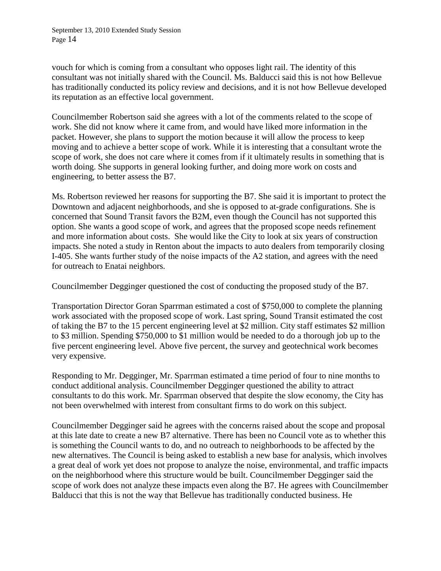vouch for which is coming from a consultant who opposes light rail. The identity of this consultant was not initially shared with the Council. Ms. Balducci said this is not how Bellevue has traditionally conducted its policy review and decisions, and it is not how Bellevue developed its reputation as an effective local government.

Councilmember Robertson said she agrees with a lot of the comments related to the scope of work. She did not know where it came from, and would have liked more information in the packet. However, she plans to support the motion because it will allow the process to keep moving and to achieve a better scope of work. While it is interesting that a consultant wrote the scope of work, she does not care where it comes from if it ultimately results in something that is worth doing. She supports in general looking further, and doing more work on costs and engineering, to better assess the B7.

Ms. Robertson reviewed her reasons for supporting the B7. She said it is important to protect the Downtown and adjacent neighborhoods, and she is opposed to at-grade configurations. She is concerned that Sound Transit favors the B2M, even though the Council has not supported this option. She wants a good scope of work, and agrees that the proposed scope needs refinement and more information about costs. She would like the City to look at six years of construction impacts. She noted a study in Renton about the impacts to auto dealers from temporarily closing I-405. She wants further study of the noise impacts of the A2 station, and agrees with the need for outreach to Enatai neighbors.

Councilmember Degginger questioned the cost of conducting the proposed study of the B7.

Transportation Director Goran Sparrman estimated a cost of \$750,000 to complete the planning work associated with the proposed scope of work. Last spring, Sound Transit estimated the cost of taking the B7 to the 15 percent engineering level at \$2 million. City staff estimates \$2 million to \$3 million. Spending \$750,000 to \$1 million would be needed to do a thorough job up to the five percent engineering level. Above five percent, the survey and geotechnical work becomes very expensive.

Responding to Mr. Degginger, Mr. Sparrman estimated a time period of four to nine months to conduct additional analysis. Councilmember Degginger questioned the ability to attract consultants to do this work. Mr. Sparrman observed that despite the slow economy, the City has not been overwhelmed with interest from consultant firms to do work on this subject.

Councilmember Degginger said he agrees with the concerns raised about the scope and proposal at this late date to create a new B7 alternative. There has been no Council vote as to whether this is something the Council wants to do, and no outreach to neighborhoods to be affected by the new alternatives. The Council is being asked to establish a new base for analysis, which involves a great deal of work yet does not propose to analyze the noise, environmental, and traffic impacts on the neighborhood where this structure would be built. Councilmember Degginger said the scope of work does not analyze these impacts even along the B7. He agrees with Councilmember Balducci that this is not the way that Bellevue has traditionally conducted business. He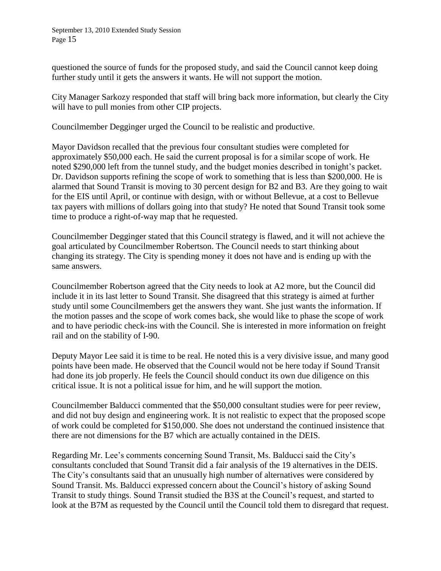questioned the source of funds for the proposed study, and said the Council cannot keep doing further study until it gets the answers it wants. He will not support the motion.

City Manager Sarkozy responded that staff will bring back more information, but clearly the City will have to pull monies from other CIP projects.

Councilmember Degginger urged the Council to be realistic and productive.

Mayor Davidson recalled that the previous four consultant studies were completed for approximately \$50,000 each. He said the current proposal is for a similar scope of work. He noted \$290,000 left from the tunnel study, and the budget monies described in tonight's packet. Dr. Davidson supports refining the scope of work to something that is less than \$200,000. He is alarmed that Sound Transit is moving to 30 percent design for B2 and B3. Are they going to wait for the EIS until April, or continue with design, with or without Bellevue, at a cost to Bellevue tax payers with millions of dollars going into that study? He noted that Sound Transit took some time to produce a right-of-way map that he requested.

Councilmember Degginger stated that this Council strategy is flawed, and it will not achieve the goal articulated by Councilmember Robertson. The Council needs to start thinking about changing its strategy. The City is spending money it does not have and is ending up with the same answers.

Councilmember Robertson agreed that the City needs to look at A2 more, but the Council did include it in its last letter to Sound Transit. She disagreed that this strategy is aimed at further study until some Councilmembers get the answers they want. She just wants the information. If the motion passes and the scope of work comes back, she would like to phase the scope of work and to have periodic check-ins with the Council. She is interested in more information on freight rail and on the stability of I-90.

Deputy Mayor Lee said it is time to be real. He noted this is a very divisive issue, and many good points have been made. He observed that the Council would not be here today if Sound Transit had done its job properly. He feels the Council should conduct its own due diligence on this critical issue. It is not a political issue for him, and he will support the motion.

Councilmember Balducci commented that the \$50,000 consultant studies were for peer review, and did not buy design and engineering work. It is not realistic to expect that the proposed scope of work could be completed for \$150,000. She does not understand the continued insistence that there are not dimensions for the B7 which are actually contained in the DEIS.

Regarding Mr. Lee's comments concerning Sound Transit, Ms. Balducci said the City's consultants concluded that Sound Transit did a fair analysis of the 19 alternatives in the DEIS. The City's consultants said that an unusually high number of alternatives were considered by Sound Transit. Ms. Balducci expressed concern about the Council's history of asking Sound Transit to study things. Sound Transit studied the B3S at the Council's request, and started to look at the B7M as requested by the Council until the Council told them to disregard that request.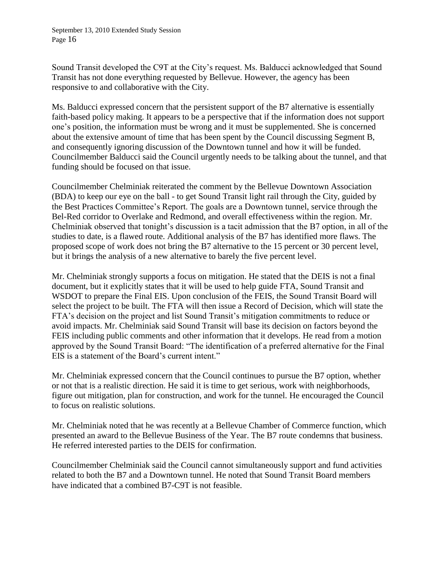Sound Transit developed the C9T at the City's request. Ms. Balducci acknowledged that Sound Transit has not done everything requested by Bellevue. However, the agency has been responsive to and collaborative with the City.

Ms. Balducci expressed concern that the persistent support of the B7 alternative is essentially faith-based policy making. It appears to be a perspective that if the information does not support one's position, the information must be wrong and it must be supplemented. She is concerned about the extensive amount of time that has been spent by the Council discussing Segment B, and consequently ignoring discussion of the Downtown tunnel and how it will be funded. Councilmember Balducci said the Council urgently needs to be talking about the tunnel, and that funding should be focused on that issue.

Councilmember Chelminiak reiterated the comment by the Bellevue Downtown Association (BDA) to keep our eye on the ball - to get Sound Transit light rail through the City, guided by the Best Practices Committee's Report. The goals are a Downtown tunnel, service through the Bel-Red corridor to Overlake and Redmond, and overall effectiveness within the region. Mr. Chelminiak observed that tonight's discussion is a tacit admission that the B7 option, in all of the studies to date, is a flawed route. Additional analysis of the B7 has identified more flaws. The proposed scope of work does not bring the B7 alternative to the 15 percent or 30 percent level, but it brings the analysis of a new alternative to barely the five percent level.

Mr. Chelminiak strongly supports a focus on mitigation. He stated that the DEIS is not a final document, but it explicitly states that it will be used to help guide FTA, Sound Transit and WSDOT to prepare the Final EIS. Upon conclusion of the FEIS, the Sound Transit Board will select the project to be built. The FTA will then issue a Record of Decision, which will state the FTA's decision on the project and list Sound Transit's mitigation commitments to reduce or avoid impacts. Mr. Chelminiak said Sound Transit will base its decision on factors beyond the FEIS including public comments and other information that it develops. He read from a motion approved by the Sound Transit Board: "The identification of a preferred alternative for the Final EIS is a statement of the Board's current intent."

Mr. Chelminiak expressed concern that the Council continues to pursue the B7 option, whether or not that is a realistic direction. He said it is time to get serious, work with neighborhoods, figure out mitigation, plan for construction, and work for the tunnel. He encouraged the Council to focus on realistic solutions.

Mr. Chelminiak noted that he was recently at a Bellevue Chamber of Commerce function, which presented an award to the Bellevue Business of the Year. The B7 route condemns that business. He referred interested parties to the DEIS for confirmation.

Councilmember Chelminiak said the Council cannot simultaneously support and fund activities related to both the B7 and a Downtown tunnel. He noted that Sound Transit Board members have indicated that a combined B7-C9T is not feasible.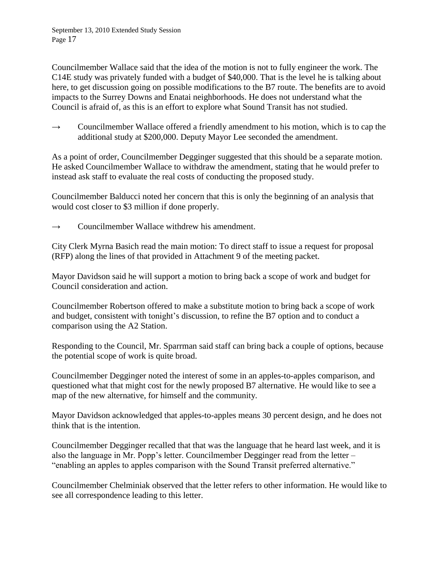Councilmember Wallace said that the idea of the motion is not to fully engineer the work. The C14E study was privately funded with a budget of \$40,000. That is the level he is talking about here, to get discussion going on possible modifications to the B7 route. The benefits are to avoid impacts to the Surrey Downs and Enatai neighborhoods. He does not understand what the Council is afraid of, as this is an effort to explore what Sound Transit has not studied.

 $\rightarrow$  Councilmember Wallace offered a friendly amendment to his motion, which is to cap the additional study at \$200,000. Deputy Mayor Lee seconded the amendment.

As a point of order, Councilmember Degginger suggested that this should be a separate motion. He asked Councilmember Wallace to withdraw the amendment, stating that he would prefer to instead ask staff to evaluate the real costs of conducting the proposed study.

Councilmember Balducci noted her concern that this is only the beginning of an analysis that would cost closer to \$3 million if done properly.

→ Councilmember Wallace withdrew his amendment.

City Clerk Myrna Basich read the main motion: To direct staff to issue a request for proposal (RFP) along the lines of that provided in Attachment 9 of the meeting packet.

Mayor Davidson said he will support a motion to bring back a scope of work and budget for Council consideration and action.

Councilmember Robertson offered to make a substitute motion to bring back a scope of work and budget, consistent with tonight's discussion, to refine the B7 option and to conduct a comparison using the A2 Station.

Responding to the Council, Mr. Sparrman said staff can bring back a couple of options, because the potential scope of work is quite broad.

Councilmember Degginger noted the interest of some in an apples-to-apples comparison, and questioned what that might cost for the newly proposed B7 alternative. He would like to see a map of the new alternative, for himself and the community.

Mayor Davidson acknowledged that apples-to-apples means 30 percent design, and he does not think that is the intention.

Councilmember Degginger recalled that that was the language that he heard last week, and it is also the language in Mr. Popp's letter. Councilmember Degginger read from the letter – "enabling an apples to apples comparison with the Sound Transit preferred alternative."

Councilmember Chelminiak observed that the letter refers to other information. He would like to see all correspondence leading to this letter.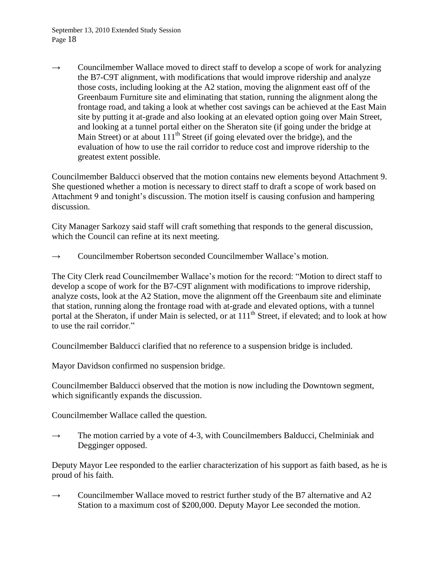$\rightarrow$  Councilmember Wallace moved to direct staff to develop a scope of work for analyzing the B7-C9T alignment, with modifications that would improve ridership and analyze those costs, including looking at the A2 station, moving the alignment east off of the Greenbaum Furniture site and eliminating that station, running the alignment along the frontage road, and taking a look at whether cost savings can be achieved at the East Main site by putting it at-grade and also looking at an elevated option going over Main Street, and looking at a tunnel portal either on the Sheraton site (if going under the bridge at Main Street) or at about  $111<sup>th</sup>$  Street (if going elevated over the bridge), and the evaluation of how to use the rail corridor to reduce cost and improve ridership to the greatest extent possible.

Councilmember Balducci observed that the motion contains new elements beyond Attachment 9. She questioned whether a motion is necessary to direct staff to draft a scope of work based on Attachment 9 and tonight's discussion. The motion itself is causing confusion and hampering discussion.

City Manager Sarkozy said staff will craft something that responds to the general discussion, which the Council can refine at its next meeting.

 $\rightarrow$  Councilmember Robertson seconded Councilmember Wallace's motion.

The City Clerk read Councilmember Wallace's motion for the record: "Motion to direct staff to develop a scope of work for the B7-C9T alignment with modifications to improve ridership, analyze costs, look at the A2 Station, move the alignment off the Greenbaum site and eliminate that station, running along the frontage road with at-grade and elevated options, with a tunnel portal at the Sheraton, if under Main is selected, or at 111<sup>th</sup> Street, if elevated; and to look at how to use the rail corridor."

Councilmember Balducci clarified that no reference to a suspension bridge is included.

Mayor Davidson confirmed no suspension bridge.

Councilmember Balducci observed that the motion is now including the Downtown segment, which significantly expands the discussion.

Councilmember Wallace called the question.

 $\rightarrow$  The motion carried by a vote of 4-3, with Councilmembers Balducci, Chelminiak and Degginger opposed.

Deputy Mayor Lee responded to the earlier characterization of his support as faith based, as he is proud of his faith.

 $\rightarrow$  Councilmember Wallace moved to restrict further study of the B7 alternative and A2 Station to a maximum cost of \$200,000. Deputy Mayor Lee seconded the motion.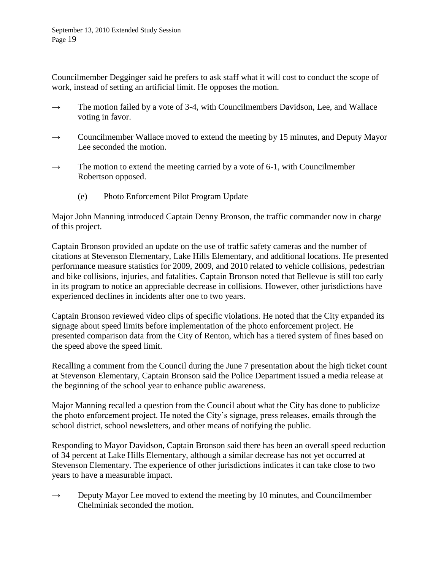Councilmember Degginger said he prefers to ask staff what it will cost to conduct the scope of work, instead of setting an artificial limit. He opposes the motion.

- $\rightarrow$  The motion failed by a vote of 3-4, with Councilmembers Davidson, Lee, and Wallace voting in favor.
- $\rightarrow$  Councilmember Wallace moved to extend the meeting by 15 minutes, and Deputy Mayor Lee seconded the motion.
- $\rightarrow$  The motion to extend the meeting carried by a vote of 6-1, with Councilmember Robertson opposed.
	- (e) Photo Enforcement Pilot Program Update

Major John Manning introduced Captain Denny Bronson, the traffic commander now in charge of this project.

Captain Bronson provided an update on the use of traffic safety cameras and the number of citations at Stevenson Elementary, Lake Hills Elementary, and additional locations. He presented performance measure statistics for 2009, 2009, and 2010 related to vehicle collisions, pedestrian and bike collisions, injuries, and fatalities. Captain Bronson noted that Bellevue is still too early in its program to notice an appreciable decrease in collisions. However, other jurisdictions have experienced declines in incidents after one to two years.

Captain Bronson reviewed video clips of specific violations. He noted that the City expanded its signage about speed limits before implementation of the photo enforcement project. He presented comparison data from the City of Renton, which has a tiered system of fines based on the speed above the speed limit.

Recalling a comment from the Council during the June 7 presentation about the high ticket count at Stevenson Elementary, Captain Bronson said the Police Department issued a media release at the beginning of the school year to enhance public awareness.

Major Manning recalled a question from the Council about what the City has done to publicize the photo enforcement project. He noted the City's signage, press releases, emails through the school district, school newsletters, and other means of notifying the public.

Responding to Mayor Davidson, Captain Bronson said there has been an overall speed reduction of 34 percent at Lake Hills Elementary, although a similar decrease has not yet occurred at Stevenson Elementary. The experience of other jurisdictions indicates it can take close to two years to have a measurable impact.

 $\rightarrow$  Deputy Mayor Lee moved to extend the meeting by 10 minutes, and Councilmember Chelminiak seconded the motion.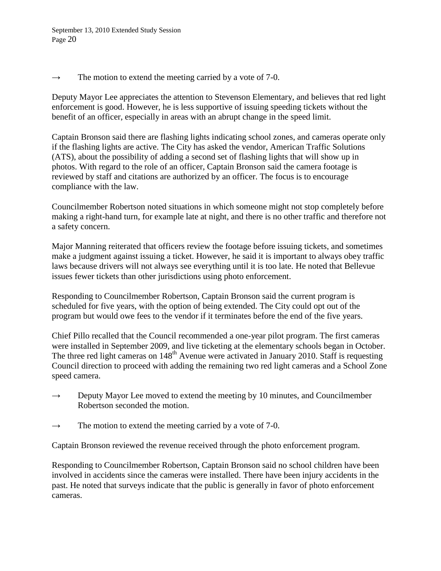$\rightarrow$  The motion to extend the meeting carried by a vote of 7-0.

Deputy Mayor Lee appreciates the attention to Stevenson Elementary, and believes that red light enforcement is good. However, he is less supportive of issuing speeding tickets without the benefit of an officer, especially in areas with an abrupt change in the speed limit.

Captain Bronson said there are flashing lights indicating school zones, and cameras operate only if the flashing lights are active. The City has asked the vendor, American Traffic Solutions (ATS), about the possibility of adding a second set of flashing lights that will show up in photos. With regard to the role of an officer, Captain Bronson said the camera footage is reviewed by staff and citations are authorized by an officer. The focus is to encourage compliance with the law.

Councilmember Robertson noted situations in which someone might not stop completely before making a right-hand turn, for example late at night, and there is no other traffic and therefore not a safety concern.

Major Manning reiterated that officers review the footage before issuing tickets, and sometimes make a judgment against issuing a ticket. However, he said it is important to always obey traffic laws because drivers will not always see everything until it is too late. He noted that Bellevue issues fewer tickets than other jurisdictions using photo enforcement.

Responding to Councilmember Robertson, Captain Bronson said the current program is scheduled for five years, with the option of being extended. The City could opt out of the program but would owe fees to the vendor if it terminates before the end of the five years.

Chief Pillo recalled that the Council recommended a one-year pilot program. The first cameras were installed in September 2009, and live ticketing at the elementary schools began in October. The three red light cameras on 148<sup>th</sup> Avenue were activated in January 2010. Staff is requesting Council direction to proceed with adding the remaining two red light cameras and a School Zone speed camera.

- $\rightarrow$  Deputy Mayor Lee moved to extend the meeting by 10 minutes, and Councilmember Robertson seconded the motion.
- $\rightarrow$  The motion to extend the meeting carried by a vote of 7-0.

Captain Bronson reviewed the revenue received through the photo enforcement program.

Responding to Councilmember Robertson, Captain Bronson said no school children have been involved in accidents since the cameras were installed. There have been injury accidents in the past. He noted that surveys indicate that the public is generally in favor of photo enforcement cameras.